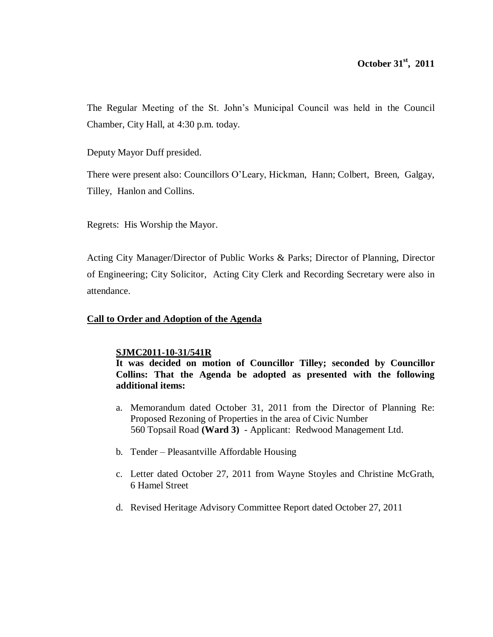The Regular Meeting of the St. John's Municipal Council was held in the Council Chamber, City Hall, at 4:30 p.m. today.

Deputy Mayor Duff presided.

There were present also: Councillors O'Leary, Hickman, Hann; Colbert, Breen, Galgay, Tilley, Hanlon and Collins.

Regrets: His Worship the Mayor.

Acting City Manager/Director of Public Works & Parks; Director of Planning, Director of Engineering; City Solicitor, Acting City Clerk and Recording Secretary were also in attendance.

# **Call to Order and Adoption of the Agenda**

## **SJMC2011-10-31/541R**

**It was decided on motion of Councillor Tilley; seconded by Councillor Collins: That the Agenda be adopted as presented with the following additional items:**

- a. Memorandum dated October 31, 2011 from the Director of Planning Re: Proposed Rezoning of Properties in the area of Civic Number 560 Topsail Road **(Ward 3)** - Applicant: Redwood Management Ltd.
- b. Tender Pleasantville Affordable Housing
- c. Letter dated October 27, 2011 from Wayne Stoyles and Christine McGrath, 6 Hamel Street
- d. Revised Heritage Advisory Committee Report dated October 27, 2011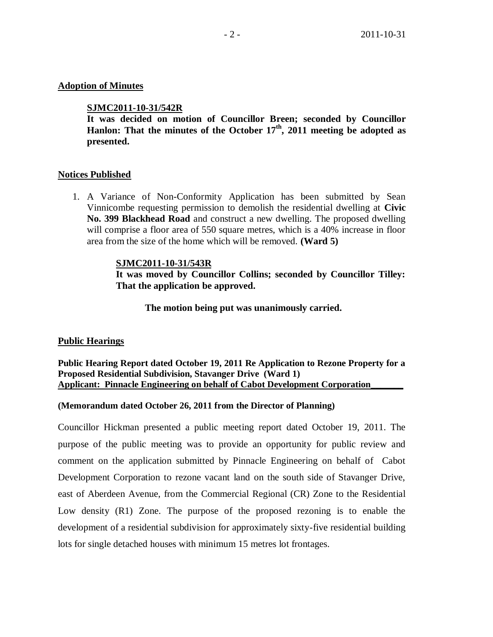## **Adoption of Minutes**

## **SJMC2011-10-31/542R**

**It was decided on motion of Councillor Breen; seconded by Councillor Hanlon: That the minutes of the October 17 th , 2011 meeting be adopted as presented.**

## **Notices Published**

1. A Variance of Non-Conformity Application has been submitted by Sean Vinnicombe requesting permission to demolish the residential dwelling at **Civic No. 399 Blackhead Road** and construct a new dwelling. The proposed dwelling will comprise a floor area of 550 square metres, which is a 40% increase in floor area from the size of the home which will be removed. **(Ward 5)**

### **SJMC2011-10-31/543R**

**It was moved by Councillor Collins; seconded by Councillor Tilley: That the application be approved.**

**The motion being put was unanimously carried.** 

### **Public Hearings**

**Public Hearing Report dated October 19, 2011 Re Application to Rezone Property for a Proposed Residential Subdivision, Stavanger Drive (Ward 1) Applicant: Pinnacle Engineering on behalf of Cabot Development Corporation\_\_\_\_\_\_\_**

### **(Memorandum dated October 26, 2011 from the Director of Planning)**

Councillor Hickman presented a public meeting report dated October 19, 2011. The purpose of the public meeting was to provide an opportunity for public review and comment on the application submitted by Pinnacle Engineering on behalf of Cabot Development Corporation to rezone vacant land on the south side of Stavanger Drive, east of Aberdeen Avenue, from the Commercial Regional (CR) Zone to the Residential Low density (R1) Zone. The purpose of the proposed rezoning is to enable the development of a residential subdivision for approximately sixty-five residential building lots for single detached houses with minimum 15 metres lot frontages.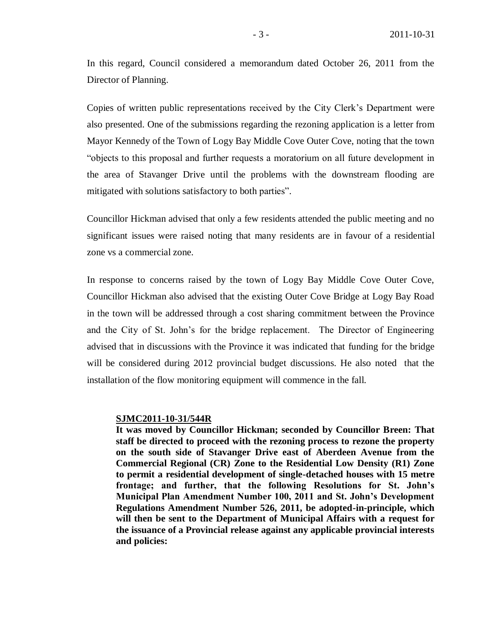In this regard, Council considered a memorandum dated October 26, 2011 from the Director of Planning.

Copies of written public representations received by the City Clerk's Department were also presented. One of the submissions regarding the rezoning application is a letter from Mayor Kennedy of the Town of Logy Bay Middle Cove Outer Cove, noting that the town "objects to this proposal and further requests a moratorium on all future development in the area of Stavanger Drive until the problems with the downstream flooding are mitigated with solutions satisfactory to both parties".

Councillor Hickman advised that only a few residents attended the public meeting and no significant issues were raised noting that many residents are in favour of a residential zone vs a commercial zone.

In response to concerns raised by the town of Logy Bay Middle Cove Outer Cove, Councillor Hickman also advised that the existing Outer Cove Bridge at Logy Bay Road in the town will be addressed through a cost sharing commitment between the Province and the City of St. John's for the bridge replacement. The Director of Engineering advised that in discussions with the Province it was indicated that funding for the bridge will be considered during 2012 provincial budget discussions. He also noted that the installation of the flow monitoring equipment will commence in the fall.

## **SJMC2011-10-31/544R**

**It was moved by Councillor Hickman; seconded by Councillor Breen: That staff be directed to proceed with the rezoning process to rezone the property on the south side of Stavanger Drive east of Aberdeen Avenue from the Commercial Regional (CR) Zone to the Residential Low Density (R1) Zone to permit a residential development of single-detached houses with 15 metre frontage; and further, that the following Resolutions for St. John's Municipal Plan Amendment Number 100, 2011 and St. John's Development Regulations Amendment Number 526, 2011, be adopted-in-principle, which will then be sent to the Department of Municipal Affairs with a request for the issuance of a Provincial release against any applicable provincial interests and policies:**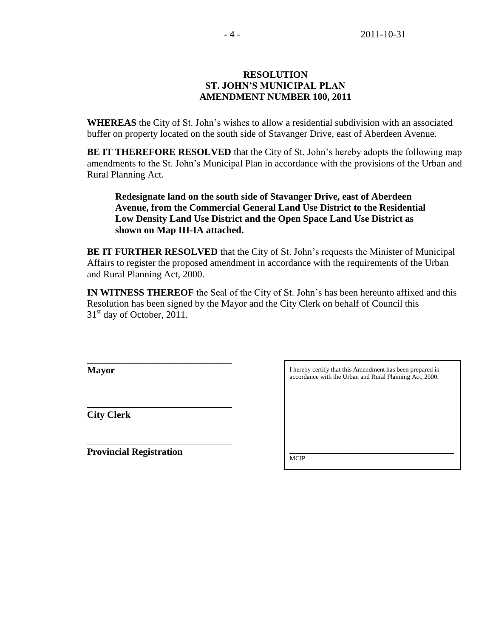# **RESOLUTION ST. JOHN'S MUNICIPAL PLAN AMENDMENT NUMBER 100, 2011**

**WHEREAS** the City of St. John's wishes to allow a residential subdivision with an associated buffer on property located on the south side of Stavanger Drive, east of Aberdeen Avenue.

**BE IT THEREFORE RESOLVED** that the City of St. John's hereby adopts the following map amendments to the St. John's Municipal Plan in accordance with the provisions of the Urban and Rural Planning Act.

**Redesignate land on the south side of Stavanger Drive, east of Aberdeen Avenue, from the Commercial General Land Use District to the Residential Low Density Land Use District and the Open Space Land Use District as shown on Map III-IA attached.**

**BE IT FURTHER RESOLVED** that the City of St. John's requests the Minister of Municipal Affairs to register the proposed amendment in accordance with the requirements of the Urban and Rural Planning Act, 2000.

**IN WITNESS THEREOF** the Seal of the City of St. John's has been hereunto affixed and this Resolution has been signed by the Mayor and the City Clerk on behalf of Council this  $31<sup>st</sup>$  day of October, 2011.

**Mayor**

**City Clerk**

**Provincial Registration**

**\_\_\_\_\_\_\_\_\_\_\_\_\_\_\_\_\_\_\_\_\_\_\_\_\_\_\_\_\_\_**

**\_\_\_\_\_\_\_\_\_\_\_\_\_\_\_\_\_\_\_\_\_\_\_\_\_\_\_\_\_\_** 

I hereby certify that this Amendment has been prepared in accordance with the Urban and Rural Planning Act, 2000.  $\mathcal{L}_\text{max}$  , and the set of the set of the set of the set of the set of the set of the set of the set of the set of the set of the set of the set of the set of the set of the set of the set of the set of the set of the **MCIP**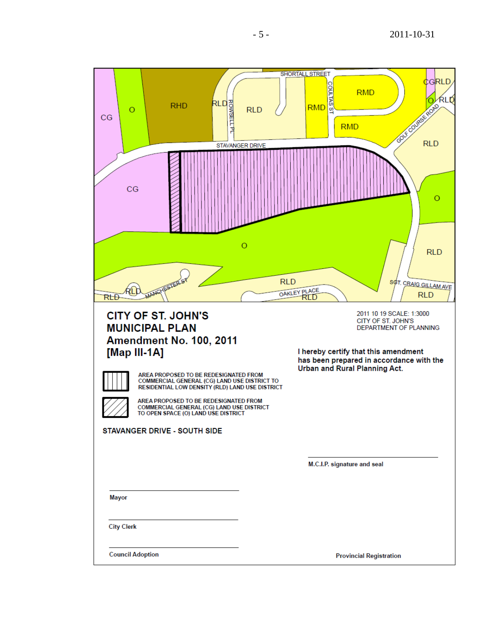| <b>ROWSELL PL</b><br>RLD<br><b>RHD</b><br>O<br>CG<br>CG                                                                                                                                                                                                                                                                                                                                                       | <b>SHORTALL STREET</b><br>₫GRLD<br><b>COULTAS</b><br><b>RMD</b><br><b>ALD</b><br>Fox course from<br><b>RMD</b><br><b>RLD</b><br><b>CO</b><br><b>RMD</b><br><b>STAVANGER DRIVE</b><br>$\circ$         |
|---------------------------------------------------------------------------------------------------------------------------------------------------------------------------------------------------------------------------------------------------------------------------------------------------------------------------------------------------------------------------------------------------------------|------------------------------------------------------------------------------------------------------------------------------------------------------------------------------------------------------|
| RLĐ                                                                                                                                                                                                                                                                                                                                                                                                           | $\circ$<br><b>RLD</b><br><b>RLD</b><br>SOT. CRAIG GILLAM AVE<br>OAKLEY PLACE<br><b>RLD</b><br>RTD                                                                                                    |
| <b>CITY OF ST. JOHN'S</b><br><b>MUNICIPAL PLAN</b><br><b>Amendment No. 100, 2011</b><br>[Map III-1A]<br>AREA PROPOSED TO BE REDESIGNATED FROM<br>COMMERCIAL GENERAL (CG) LAND USE DISTRICT TO<br>RESIDENTIAL LOW DENSITY (RLD) LAND USE DISTRICT<br>AREA PROPOSED TO BE REDESIGNATED FROM<br>COMMERCIAL GENERAL (CG) LAND USE DISTRICT<br>TO OPEN SPACE (O) LAND USE DISTRICT<br>STAVANGER DRIVE - SOUTH SIDE | 2011 10 19 SCALE: 1:3000<br>CITY OF ST. JOHN'S<br><b>DEPARTMENT OF PLANNING</b><br>I hereby certify that this amendment<br>has been prepared in accordance with the<br>Urban and Rural Planning Act. |
|                                                                                                                                                                                                                                                                                                                                                                                                               | M.C.I.P. signature and seal                                                                                                                                                                          |
| <b>Mayor</b>                                                                                                                                                                                                                                                                                                                                                                                                  |                                                                                                                                                                                                      |
| <b>City Clerk</b>                                                                                                                                                                                                                                                                                                                                                                                             |                                                                                                                                                                                                      |
| <b>Council Adoption</b>                                                                                                                                                                                                                                                                                                                                                                                       | <b>Provincial Registration</b>                                                                                                                                                                       |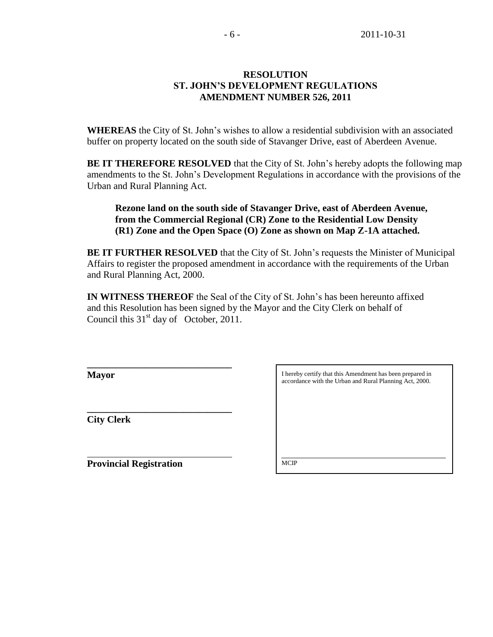## **RESOLUTION ST. JOHN'S DEVELOPMENT REGULATIONS AMENDMENT NUMBER 526, 2011**

**WHEREAS** the City of St. John's wishes to allow a residential subdivision with an associated buffer on property located on the south side of Stavanger Drive, east of Aberdeen Avenue.

**BE IT THEREFORE RESOLVED** that the City of St. John's hereby adopts the following map amendments to the St. John's Development Regulations in accordance with the provisions of the Urban and Rural Planning Act.

## **Rezone land on the south side of Stavanger Drive, east of Aberdeen Avenue, from the Commercial Regional (CR) Zone to the Residential Low Density (R1) Zone and the Open Space (O) Zone as shown on Map Z-1A attached.**

**BE IT FURTHER RESOLVED** that the City of St. John's requests the Minister of Municipal Affairs to register the proposed amendment in accordance with the requirements of the Urban and Rural Planning Act, 2000.

**IN WITNESS THEREOF** the Seal of the City of St. John's has been hereunto affixed and this Resolution has been signed by the Mayor and the City Clerk on behalf of Council this  $31<sup>st</sup>$  day of October, 2011.

**Mayor**

**City Clerk**

**Provincial Registration**

**\_\_\_\_\_\_\_\_\_\_\_\_\_\_\_\_\_\_\_\_\_\_\_\_\_\_\_\_\_\_**

**\_\_\_\_\_\_\_\_\_\_\_\_\_\_\_\_\_\_\_\_\_\_\_\_\_\_\_\_\_\_** 

I hereby certify that this Amendment has been prepared in accordance with the Urban and Rural Planning Act, 2000.

\_\_\_\_\_\_\_\_\_\_\_\_\_\_\_\_\_\_\_\_\_\_\_\_\_\_\_\_\_\_\_\_\_\_\_\_\_\_\_\_\_\_\_\_\_\_\_\_\_\_\_ **MCIP**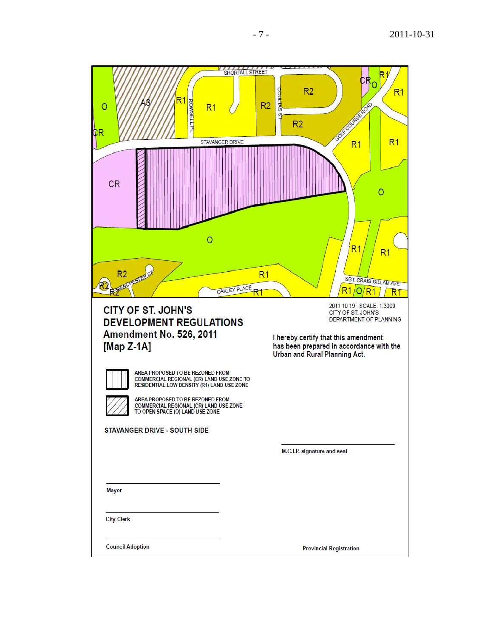

**Council Adoption** 

**Provincial Registration**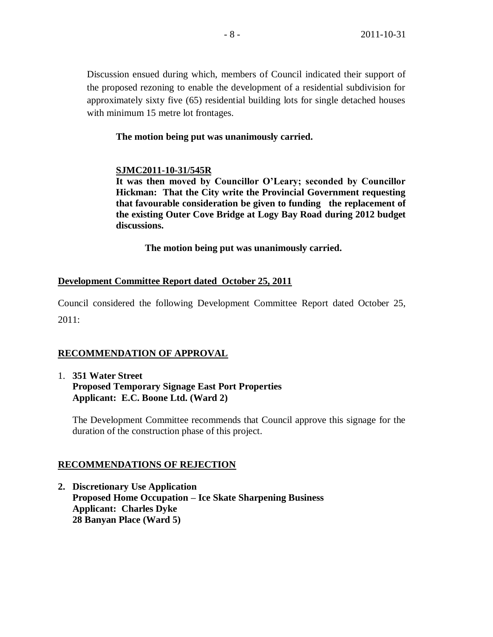Discussion ensued during which, members of Council indicated their support of the proposed rezoning to enable the development of a residential subdivision for approximately sixty five (65) residential building lots for single detached houses with minimum 15 metre lot frontages.

# **The motion being put was unanimously carried.**

# **SJMC2011-10-31/545R**

**It was then moved by Councillor O'Leary; seconded by Councillor Hickman: That the City write the Provincial Government requesting that favourable consideration be given to funding the replacement of the existing Outer Cove Bridge at Logy Bay Road during 2012 budget discussions.**

**The motion being put was unanimously carried.** 

# **Development Committee Report dated October 25, 2011**

Council considered the following Development Committee Report dated October 25, 2011:

# **RECOMMENDATION OF APPROVAL**

1. **351 Water Street Proposed Temporary Signage East Port Properties Applicant: E.C. Boone Ltd. (Ward 2)**

The Development Committee recommends that Council approve this signage for the duration of the construction phase of this project.

# **RECOMMENDATIONS OF REJECTION**

**2. Discretionary Use Application Proposed Home Occupation – Ice Skate Sharpening Business Applicant: Charles Dyke 28 Banyan Place (Ward 5)**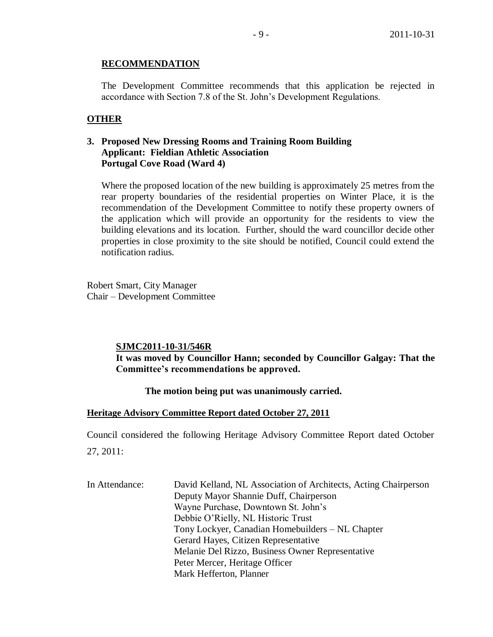## **RECOMMENDATION**

The Development Committee recommends that this application be rejected in accordance with Section 7.8 of the St. John's Development Regulations.

# **OTHER**

# **3. Proposed New Dressing Rooms and Training Room Building Applicant: Fieldian Athletic Association Portugal Cove Road (Ward 4)**

Where the proposed location of the new building is approximately 25 metres from the rear property boundaries of the residential properties on Winter Place, it is the recommendation of the Development Committee to notify these property owners of the application which will provide an opportunity for the residents to view the building elevations and its location. Further, should the ward councillor decide other properties in close proximity to the site should be notified, Council could extend the notification radius.

Robert Smart, City Manager Chair – Development Committee

## **SJMC2011-10-31/546R**

**It was moved by Councillor Hann; seconded by Councillor Galgay: That the Committee's recommendations be approved.**

## **The motion being put was unanimously carried.**

## **Heritage Advisory Committee Report dated October 27, 2011**

Council considered the following Heritage Advisory Committee Report dated October 27, 2011:

| In Attendance: | David Kelland, NL Association of Architects, Acting Chairperson |
|----------------|-----------------------------------------------------------------|
|                | Deputy Mayor Shannie Duff, Chairperson                          |
|                | Wayne Purchase, Downtown St. John's                             |
|                | Debbie O'Rielly, NL Historic Trust                              |
|                | Tony Lockyer, Canadian Homebuilders - NL Chapter                |
|                | Gerard Hayes, Citizen Representative                            |
|                | Melanie Del Rizzo, Business Owner Representative                |
|                | Peter Mercer, Heritage Officer                                  |
|                | Mark Hefferton, Planner                                         |
|                |                                                                 |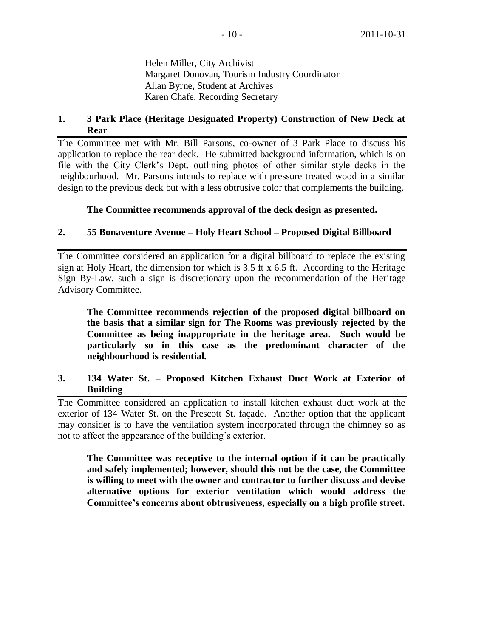Helen Miller, City Archivist Margaret Donovan, Tourism Industry Coordinator Allan Byrne, Student at Archives Karen Chafe, Recording Secretary

## **1. 3 Park Place (Heritage Designated Property) Construction of New Deck at Rear**

The Committee met with Mr. Bill Parsons, co-owner of 3 Park Place to discuss his application to replace the rear deck. He submitted background information, which is on file with the City Clerk's Dept. outlining photos of other similar style decks in the neighbourhood. Mr. Parsons intends to replace with pressure treated wood in a similar design to the previous deck but with a less obtrusive color that complements the building.

## **The Committee recommends approval of the deck design as presented.**

# **2. 55 Bonaventure Avenue – Holy Heart School – Proposed Digital Billboard**

The Committee considered an application for a digital billboard to replace the existing sign at Holy Heart, the dimension for which is 3.5 ft x 6.5 ft. According to the Heritage Sign By-Law, such a sign is discretionary upon the recommendation of the Heritage Advisory Committee.

**The Committee recommends rejection of the proposed digital billboard on the basis that a similar sign for The Rooms was previously rejected by the Committee as being inappropriate in the heritage area. Such would be particularly so in this case as the predominant character of the neighbourhood is residential.**

## **3. 134 Water St. – Proposed Kitchen Exhaust Duct Work at Exterior of Building**

The Committee considered an application to install kitchen exhaust duct work at the exterior of 134 Water St. on the Prescott St. façade. Another option that the applicant may consider is to have the ventilation system incorporated through the chimney so as not to affect the appearance of the building's exterior.

**The Committee was receptive to the internal option if it can be practically and safely implemented; however, should this not be the case, the Committee is willing to meet with the owner and contractor to further discuss and devise alternative options for exterior ventilation which would address the Committee's concerns about obtrusiveness, especially on a high profile street.**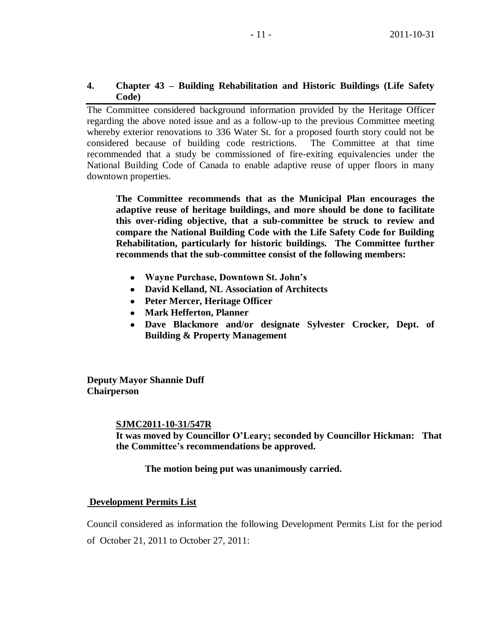## **4. Chapter 43 – Building Rehabilitation and Historic Buildings (Life Safety Code)**

The Committee considered background information provided by the Heritage Officer regarding the above noted issue and as a follow-up to the previous Committee meeting whereby exterior renovations to 336 Water St. for a proposed fourth story could not be considered because of building code restrictions. The Committee at that time recommended that a study be commissioned of fire-exiting equivalencies under the National Building Code of Canada to enable adaptive reuse of upper floors in many downtown properties.

**The Committee recommends that as the Municipal Plan encourages the adaptive reuse of heritage buildings, and more should be done to facilitate this over-riding objective, that a sub-committee be struck to review and compare the National Building Code with the Life Safety Code for Building Rehabilitation, particularly for historic buildings. The Committee further recommends that the sub-committee consist of the following members:**

- **Wayne Purchase, Downtown St. John's**
- **David Kelland, NL Association of Architects**
- **Peter Mercer, Heritage Officer**
- **Mark Hefferton, Planner**
- **Dave Blackmore and/or designate Sylvester Crocker, Dept. of Building & Property Management**

**Deputy Mayor Shannie Duff Chairperson**

### **SJMC2011-10-31/547R**

**It was moved by Councillor O'Leary; seconded by Councillor Hickman: That the Committee's recommendations be approved.**

## **The motion being put was unanimously carried.**

## **Development Permits List**

Council considered as information the following Development Permits List for the period of October 21, 2011 to October 27, 2011: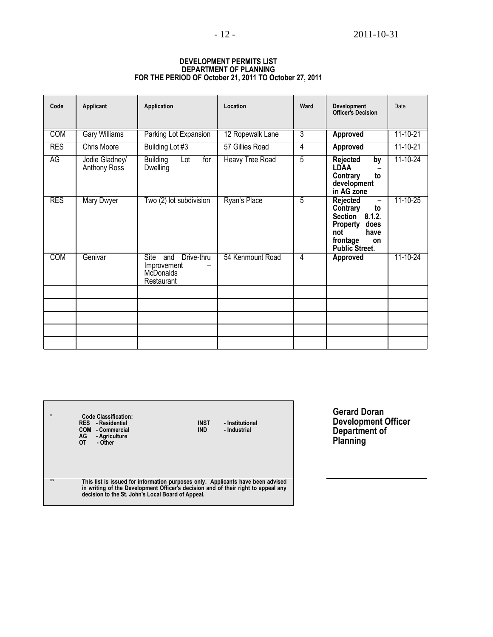| Code       | <b>Applicant</b>               | Application                                                         | Location               | Ward           | Development<br>Officer's Decision                                                                                                         | Date           |
|------------|--------------------------------|---------------------------------------------------------------------|------------------------|----------------|-------------------------------------------------------------------------------------------------------------------------------------------|----------------|
| <b>COM</b> | <b>Gary Williams</b>           | Parking Lot Expansion                                               | 12 Ropewalk Lane       | $\overline{3}$ | Approved                                                                                                                                  | $11 - 10 - 21$ |
| <b>RES</b> | <b>Chris Moore</b>             | Building Lot #3                                                     | 57 Gillies Road        | $\overline{4}$ | <b>Approved</b>                                                                                                                           | 11-10-21       |
| AG         | Jodie Gladney/<br>Anthony Ross | <b>Building</b><br>Lot<br>for<br>Dwelling                           | <b>Heavy Tree Road</b> | $\overline{5}$ | Rejected<br>by<br><b>LDAA</b><br>Contrary<br>to<br>development<br>in AG zone                                                              | 11-10-24       |
| <b>RES</b> | <b>Mary Dwyer</b>              | Two (2) lot subdivision                                             | Ryan's Place           | 5              | Rejected<br>-<br>Contrary<br>to<br><b>Section</b><br>8.1.2.<br>Property<br>does<br>have<br>not<br>frontage<br>on<br><b>Public Street.</b> | 11-10-25       |
| <b>COM</b> | Genivar                        | Drive-thru<br>Site<br>and<br>Improvement<br>McDonalds<br>Restaurant | 54 Kenmount Road       | 4              | Approved                                                                                                                                  | 11-10-24       |
|            |                                |                                                                     |                        |                |                                                                                                                                           |                |
|            |                                |                                                                     |                        |                |                                                                                                                                           |                |
|            |                                |                                                                     |                        |                |                                                                                                                                           |                |
|            |                                |                                                                     |                        |                |                                                                                                                                           |                |
|            |                                |                                                                     |                        |                |                                                                                                                                           |                |

#### **DEVELOPMENT PERMITS LIST DEPARTMENT OF PLANNING FOR THE PERIOD OF October 21, 2011 TO October 27, 2011**

| $\star$ | <b>Code Classification:</b><br>RES - Residential<br>COM - Commercial<br>AG<br>- Agriculture<br>0T<br>- Other                                                                                                              | <b>INST</b><br><b>IND</b> | - Institutional<br>- Industrial |
|---------|---------------------------------------------------------------------------------------------------------------------------------------------------------------------------------------------------------------------------|---------------------------|---------------------------------|
| $**$    | This list is issued for information purposes only. Applicants have been advised<br>in writing of the Development Officer's decision and of their right to appeal any<br>decision to the St. John's Local Board of Appeal. |                           |                                 |

 $\mathbf{r}$ 

**Gerard Doran Development Officer Department of Planning**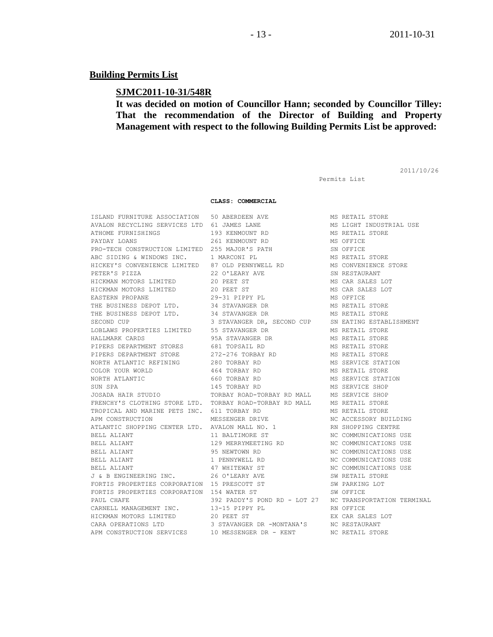### **Building Permits List**

### **SJMC2011-10-31/548R**

**It was decided on motion of Councillor Hann; seconded by Councillor Tilley: That the recommendation of the Director of Building and Property Management with respect to the following Building Permits List be approved:**

2011/10/26

Permits List

#### **CLASS: COMMERCIAL**

ISLAND FURNITURE ASSOCIATION 50 ABERDEEN AVE MS RETAIL STORE AVALON RECYCLING SERVICES LTD 61 JAMES LANE MS LIGHT INDUSTRIAL USE ATHOME FURNISHINGS 193 KENMOUNT RD MS RETAIL STORE PAYDAY LOANS 261 KENMOUNT RD MS OFFICE PRO-TECH CONSTRUCTION LIMITED 255 MAJOR'S PATH SN OFFICE ABC SIDING & WINDOWS INC.  $\qquad$  1 MARCONI PL  $\qquad$  MS RETAIL STORE HICKEY'S CONVENIENCE LIMITED 87 OLD PENNYWELL RD MS CONVENIENCE STORE PETER'S PIZZA 22 O'LEARY AVE SN RESTAURANT HICKMAN MOTORS LIMITED 20 PEET ST MS CAR SALES LOT HICKMAN MOTORS LIMITED 20 PEET ST MS CAR SALES LOT EASTERN PROPANE 29-31 PIPPY PL MS OFFICE THE BUSINESS DEPOT LTD. 34 STAVANGER DR MS RETAIL STORE THE BUSINESS DEPOT LTD. 34 STAVANGER DR MS RETAIL STORE SECOND CUP **3 STAVANGER DR, SECOND CUP** SN EATING ESTABLISHMENT LOBLAWS PROPERTIES LIMITED 55 STAVANGER DR MS RETAIL STORE HALLMARK CARDS 95A STAVANGER DR MS RETAIL STORE PIPERS DEPARTMENT STORES 681 TOPSAIL RD 680 MS RETAIL STORE PIPERS DEPARTMENT STORE 272-276 TORBAY RD MS RETAIL STORE NORTH ATLANTIC REFINING  $280$  TORBAY RD MS SERVICE STATION COLOR YOUR WORLD **464 TORBAY RD** MS RETAIL STORE NORTH ATLANTIC **120 COMBAY RD** 660 TORBAY RD MS SERVICE STATION SUN SPA 145 TORBAY RD MS SERVICE SHOP JOSADA HAIR STUDIO TORBAY ROAD-TORBAY RD MALL MS SERVICE SHOP FRENCHY'S CLOTHING STORE LTD. TORBAY ROAD-TORBAY RD MALL MS RETAIL STORE TROPICAL AND MARINE PETS INC. 611 TORBAY RD MS RETAIL STORE APM CONSTRUCTION MESSENGER DRIVE NC ACCESSORY BUILDING ATLANTIC SHOPPING CENTER LTD. AVALON MALL NO. 1 RN SHOPPING CENTRE BELL ALIANT **11 BALTIMORE ST** NC COMMUNICATIONS USE BELL ALIANT 129 MERRYMEETING RD NC COMMUNICATIONS USE BELL ALIANT 95 NEWTOWN RD NC COMMUNICATIONS USE BELL ALIANT 1 PENNYWELL RD 1 NC COMMUNICATIONS USE BELL ALIANT **17 WHITEWAY ST** NC COMMUNICATIONS USE J & B ENGINEERING INC. 26 O'LEARY AVE SW RETAIL STORE FORTIS PROPERTIES CORPORATION 15 PRESCOTT ST SW PARKING LOT FORTIS PROPERTIES CORPORATION 154 WATER ST SW OFFICE PAUL CHAFE 392 PADDY'S POND RD - LOT 27 NC TRANSPORTATION TERMINAL CARNELL MANAGEMENT INC. 13-15 PIPPY PL RN OFFICE HICKMAN MOTORS LIMITED 20 PEET ST AN OLYTRICAL BISSUES LOT<br>CARA OPERATIONS LTD 25 STAVANGER DR -MONTANA'S NC RESTAURANT APM CONSTRUCTION SERVICES 10 MESSENGER DR - KENT NC RETAIL STORE

3 STAVANGER DR -MONTANA'S NC RESTAURANT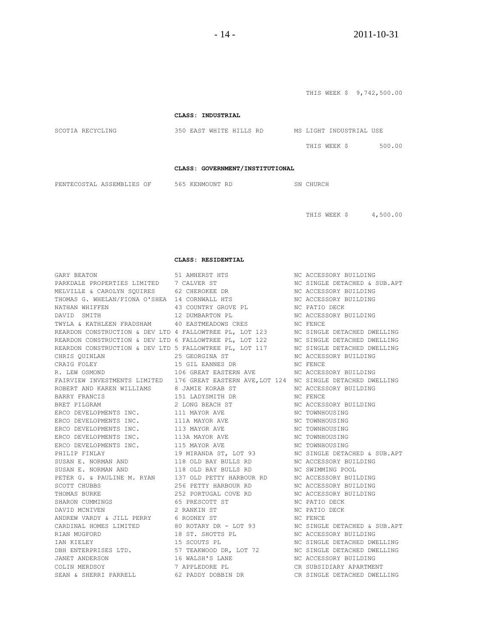**CLASS: INDUSTRIAL** SCOTIA RECYCLING 350 EAST WHITE HILLS RD MS LIGHT INDUSTRIAL USE THIS WEEK \$ 500.00 **CLASS: GOVERNMENT/INSTITUTIONAL** PENTECOSTAL ASSEMBLIES OF 565 KENMOUNT RD SN CHURCH

THIS WEEK \$ 4,500.00

THIS WEEK \$ 9,742,500.00

**CLASS: RESIDENTIAL**

| GARY BEATON                                                                                                                                                                                                                                                                                                                                                                                                                           | 51 AMHERST HTS                                                                          | NC ACCESSORY BUILDING        |
|---------------------------------------------------------------------------------------------------------------------------------------------------------------------------------------------------------------------------------------------------------------------------------------------------------------------------------------------------------------------------------------------------------------------------------------|-----------------------------------------------------------------------------------------|------------------------------|
| PARKDALE PROPERTIES LIMITED 7 CALVER ST                                                                                                                                                                                                                                                                                                                                                                                               | TS STEEP STATES                                                                         | NC SINGLE DETACHED & SUB.APT |
|                                                                                                                                                                                                                                                                                                                                                                                                                                       | MELVILLE & CAROLYN SQUIRES 62 CHEROKEE DR NO ACCESSORY BUILDING                         |                              |
|                                                                                                                                                                                                                                                                                                                                                                                                                                       | THOMAS G. WHELAN/FIONA O'SHEA 14 CORNWALL HTS NO ACCESSORY BUILDING                     |                              |
| NATHAN WHIFFEN                                                                                                                                                                                                                                                                                                                                                                                                                        | 43 COUNTRY GROVE PL NC PATIO DECK                                                       |                              |
| DAVID SMITH                                                                                                                                                                                                                                                                                                                                                                                                                           | 12 DUMBARTON PL                                                                         | NC ACCESSORY BUILDING        |
|                                                                                                                                                                                                                                                                                                                                                                                                                                       | TWYLA & KATHLEEN FRADSHAM 40 EASTMEADOWS CRES NO NC FENCE                               |                              |
|                                                                                                                                                                                                                                                                                                                                                                                                                                       | REARDON CONSTRUCTION & DEV LTD 4 FALLOWTREE PL, LOT 123 MC SINGLE DETACHED DWELLING     |                              |
| REARDON CONSTRUCTION & DEV LTD 6 FALLOWTREE PL, LOT 122 MC SINGLE DETACHED DWELLING                                                                                                                                                                                                                                                                                                                                                   |                                                                                         |                              |
|                                                                                                                                                                                                                                                                                                                                                                                                                                       |                                                                                         |                              |
|                                                                                                                                                                                                                                                                                                                                                                                                                                       |                                                                                         |                              |
|                                                                                                                                                                                                                                                                                                                                                                                                                                       |                                                                                         |                              |
| REARDON CONSTRUCTION & DEV LTD 5 FALLOWTREE PL, LOT 117 MC SINGLE DETACHED DWELLING<br>CHRIS QUINLAN 25 GEORGINA ST MC ACCESSORY BUILDING<br>CRAIG FOLEY 15 GIL EANNES DR MC FENCE<br>R. LEW OSMOND 106 GREAT EASTERN AVE NC ACCESSO                                                                                                                                                                                                  |                                                                                         |                              |
|                                                                                                                                                                                                                                                                                                                                                                                                                                       | FAIRVIEW INVESTMENTS LIMITED 176 GREAT EASTERN AVE, LOT 124 NC SINGLE DETACHED DWELLING |                              |
| ROBERT AND KAREN WILLIAMS 8 JAMIE KORAB ST                                                                                                                                                                                                                                                                                                                                                                                            |                                                                                         | NC ACCESSORY BUILDING        |
| BARRY FRANCIS<br>BRET PILGRAM                                                                                                                                                                                                                                                                                                                                                                                                         | 151 LADYSMITH DR NC FENCE                                                               |                              |
|                                                                                                                                                                                                                                                                                                                                                                                                                                       | 2 LONG BEACH ST                                                                         | NC ACCESSORY BUILDING        |
| ERCO DEVELOPMENTS INC. 111 MAYOR AVE                                                                                                                                                                                                                                                                                                                                                                                                  |                                                                                         | NC TOWNHOUSING               |
| ERCO DEVELOPMENTS INC. 111A MAYOR AVE                                                                                                                                                                                                                                                                                                                                                                                                 |                                                                                         | NC TOWNHOUSING               |
|                                                                                                                                                                                                                                                                                                                                                                                                                                       | ERCO DEVELOPMENTS INC. 113 MAYOR AVE                                                    | NC TOWNHOUSING               |
|                                                                                                                                                                                                                                                                                                                                                                                                                                       | ERCO DEVELOPMENTS INC. 113A MAYOR AVE NO TOWNHOUSING                                    |                              |
| ERCO DEVELOPMENTS INC. 115 MAYOR AVE                                                                                                                                                                                                                                                                                                                                                                                                  | NC TOWNHOUSING                                                                          |                              |
| PHILIP FINLAY                                                                                                                                                                                                                                                                                                                                                                                                                         | 19 MIRANDA ST, LOT 93 NC SINGLE DETACHED & SUB.APT                                      |                              |
|                                                                                                                                                                                                                                                                                                                                                                                                                                       | SUSAN E. NORMAN AND 118 OLD BAY BULLS RD NC ACCESSORY BUILDING                          |                              |
|                                                                                                                                                                                                                                                                                                                                                                                                                                       | SUSAN E. NORMAN AND 118 OLD BAY BULLS RD NC SWIMMING POOL                               |                              |
|                                                                                                                                                                                                                                                                                                                                                                                                                                       | PETER G. & PAULINE M. RYAN 137 OLD PETTY HARBOUR RD NC ACCESSORY BUILDING               |                              |
| SCOTT CHUBBS<br>THOMAS BURKE                                                                                                                                                                                                                                                                                                                                                                                                          | 256 PETTY HARBOUR RD NC ACCESSORY BUILDING                                              |                              |
|                                                                                                                                                                                                                                                                                                                                                                                                                                       | 252 PORTUGAL COVE RD NC ACCESSORY BUILDING                                              |                              |
| $\begin{tabular}{lllllllllllllllllllll} \multicolumn{3}{c}{\textbf{THOMAS} &\textbf{BURKE} &\textbf{2.52 FUNLUOML} &\textbf{CVE AIVL} &\textbf{NUC} &\textbf{NUC} &\textbf{NUC} \\ \multicolumn{3}{c}{\textbf{SHARON} &\textbf{CUMINGS} &\textbf{65 PRESCOTT &\textbf{ST} &\textbf{NC} &\textbf{RATIO} &\textbf{DECK} \\ \multicolumn{3}{c}{\textbf{DAVID} &\textbf{MCNUEN} &\textbf{2 RANKIN &\textbf{ST} &\textbf{NC} &\textbf{RAT$ |                                                                                         |                              |
|                                                                                                                                                                                                                                                                                                                                                                                                                                       |                                                                                         |                              |
|                                                                                                                                                                                                                                                                                                                                                                                                                                       |                                                                                         |                              |
|                                                                                                                                                                                                                                                                                                                                                                                                                                       |                                                                                         |                              |
|                                                                                                                                                                                                                                                                                                                                                                                                                                       |                                                                                         |                              |
|                                                                                                                                                                                                                                                                                                                                                                                                                                       |                                                                                         |                              |
|                                                                                                                                                                                                                                                                                                                                                                                                                                       |                                                                                         |                              |
|                                                                                                                                                                                                                                                                                                                                                                                                                                       |                                                                                         |                              |
|                                                                                                                                                                                                                                                                                                                                                                                                                                       |                                                                                         |                              |
|                                                                                                                                                                                                                                                                                                                                                                                                                                       |                                                                                         |                              |
|                                                                                                                                                                                                                                                                                                                                                                                                                                       |                                                                                         |                              |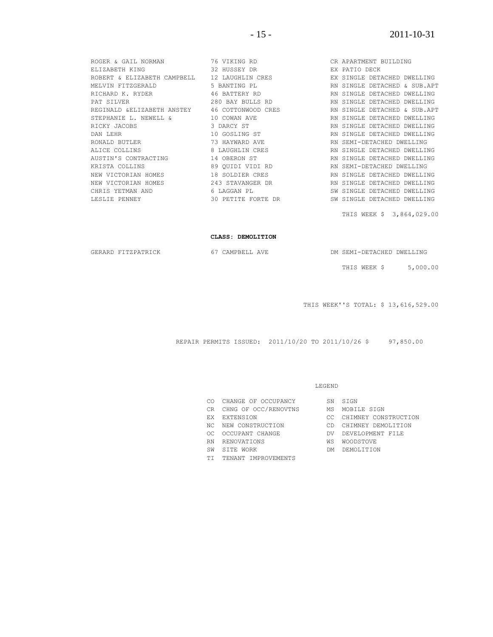| ROGER & GAIL NORMAN 76 VIKING RD   |                                                                                              | CR APARTMENT BUILDING        |
|------------------------------------|----------------------------------------------------------------------------------------------|------------------------------|
|                                    |                                                                                              |                              |
|                                    | ROBERT & ELIZABETH CAMPBELL 12 LAUGHLIN CRES TAN EX SINGLE DETACHED DWELLING                 |                              |
| MELVIN FITZGERALD 5 BANTING PL     |                                                                                              | RN SINGLE DETACHED & SUB.APT |
| RICHARD K. RYDER 46 BATTERY RD     |                                                                                              | RN SINGLE DETACHED DWELLING  |
| PAT SILVER                         | 280 BAY BULLS RD NAME NO RN SINGLE DETACHED DWELLING                                         |                              |
|                                    | REGINALD & ELIZABETH ANSTEY 46 COTTONWOOD CRES                                               | RN SINGLE DETACHED & SUB.APT |
| STEPHANIE L. NEWELL & 10 COWAN AVE |                                                                                              | RN SINGLE DETACHED DWELLING  |
| RICKY JACOBS                       | 3 DARCY ST                                                                                   | RN SINGLE DETACHED DWELLING  |
| DAN LEHR                           | 10 GOSLING ST                                                                                | RN SINGLE DETACHED DWELLING  |
|                                    | RONALD BUTLER                         73 HAYWARD AVE               RN SEMI-DETACHED DWELLING |                              |
| ALICE COLLINS                      | 8 LAUGHLIN CRES NATIONAL RN SINGLE DETACHED DWELLING                                         |                              |
| AUSTIN'S CONTRACTING 14 OBERON ST  |                                                                                              | RN SINGLE DETACHED DWELLING  |
| KRISTA COLLINS                     | 89 QUIDI VIDI RD NO RN SEMI-DETACHED DWELLING                                                |                              |
|                                    | NEW VICTORIAN HOMES 6 18 SOLDIER CRES AN SINGLE DETACHED DWELLING                            |                              |
|                                    | NEW VICTORIAN HOMES 6 243 STAVANGER DR 6 RN SINGLE DETACHED DWELLING                         |                              |
| 6 LAGGAN PL<br>CHRIS YETMAN AND    |                                                                                              | SW SINGLE DETACHED DWELLING  |
| LESLIE PENNEY                      | 30 PETITE FORTE DR                                                                           | SW SINGLE DETACHED DWELLING  |
|                                    |                                                                                              | THIS WEEK \$ 3,864,029.00    |

#### **CLASS: DEMOLITION**

GERARD FITZPATRICK 67 CAMPBELL AVE DM SEMI-DETACHED DWELLING

THIS WEEK \$ 5,000.00

THIS WEEK''S TOTAL: \$ 13,616,529.00

REPAIR PERMITS ISSUED: 2011/10/20 TO 2011/10/26 \$ 97,850.00

#### LEGEND

- CO CHANGE OF OCCUPANCY SN SIGN
- CR CHNG OF OCC/RENOVTNS MS MOBILE SIGN
- 
- 
- OC OCCUPANT CHANGE **DE DEVELOPMENT FILE**
- RN RENOVATIONS WS WOODSTOVE
- 
- TI TENANT IMPROVEMENTS
- 
- 
- EX EXTENSION CC CHIMNEY CONSTRUCTION
- NC NEW CONSTRUCTION CD CHIMNEY DEMOLITION
	-
	-
- SW SITE WORK DM DEMOLITION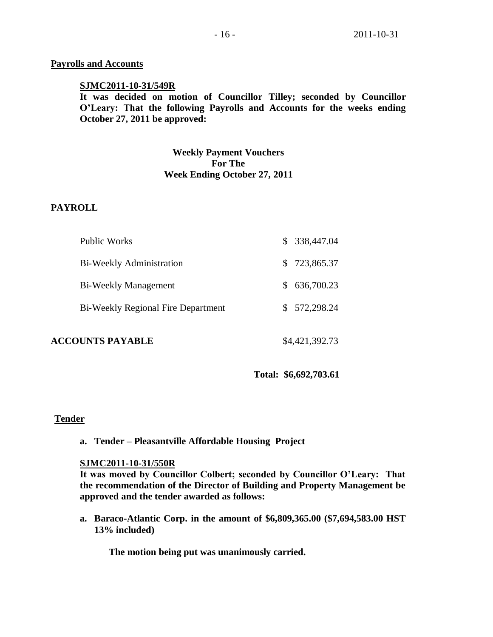## **Payrolls and Accounts**

## **SJMC2011-10-31/549R**

**It was decided on motion of Councillor Tilley; seconded by Councillor O'Leary: That the following Payrolls and Accounts for the weeks ending October 27, 2011 be approved:** 

# **Weekly Payment Vouchers For The Week Ending October 27, 2011**

## **PAYROLL**

| <b>Public Works</b>                       | \$338,447.04 |
|-------------------------------------------|--------------|
| Bi-Weekly Administration                  | \$723,865.37 |
| <b>Bi-Weekly Management</b>               | \$636,700.23 |
| <b>Bi-Weekly Regional Fire Department</b> | \$572,298.24 |
|                                           |              |

## **ACCOUNTS PAYABLE** \$4,421,392.73

**Total: \$6,692,703.61**

## **Tender**

**a. Tender – Pleasantville Affordable Housing Project**

### **SJMC2011-10-31/550R**

**It was moved by Councillor Colbert; seconded by Councillor O'Leary: That the recommendation of the Director of Building and Property Management be approved and the tender awarded as follows:**

**a. Baraco-Atlantic Corp. in the amount of \$6,809,365.00 (\$7,694,583.00 HST 13% included)**

**The motion being put was unanimously carried.**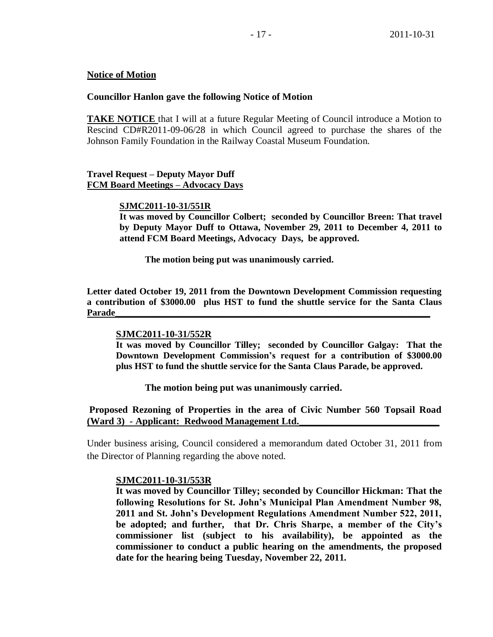## **Notice of Motion**

## **Councillor Hanlon gave the following Notice of Motion**

**TAKE NOTICE** that I will at a future Regular Meeting of Council introduce a Motion to Rescind CD#R2011-09-06/28 in which Council agreed to purchase the shares of the Johnson Family Foundation in the Railway Coastal Museum Foundation.

## **Travel Request – Deputy Mayor Duff FCM Board Meetings – Advocacy Days**

### **SJMC2011-10-31/551R**

**It was moved by Councillor Colbert; seconded by Councillor Breen: That travel by Deputy Mayor Duff to Ottawa, November 29, 2011 to December 4, 2011 to attend FCM Board Meetings, Advocacy Days, be approved.**

**The motion being put was unanimously carried.** 

**Letter dated October 19, 2011 from the Downtown Development Commission requesting a contribution of \$3000.00 plus HST to fund the shuttle service for the Santa Claus Parade\_\_\_\_\_\_\_\_\_\_\_\_\_\_\_\_\_\_\_\_\_\_\_\_\_\_\_\_\_\_\_\_\_\_\_\_\_\_\_\_\_\_\_\_\_\_\_\_\_\_\_\_\_\_\_\_\_\_\_\_\_\_\_\_\_\_\_\_**

### **SJMC2011-10-31/552R**

**It was moved by Councillor Tilley; seconded by Councillor Galgay: That the Downtown Development Commission's request for a contribution of \$3000.00 plus HST to fund the shuttle service for the Santa Claus Parade, be approved.**

**The motion being put was unanimously carried.** 

**Proposed Rezoning of Properties in the area of Civic Number 560 Topsail Road (Ward 3) - Applicant: Redwood Management Ltd.\_\_\_\_\_\_\_\_\_\_\_\_\_\_\_\_\_\_\_\_\_\_\_\_\_\_\_\_\_** 

Under business arising, Council considered a memorandum dated October 31, 2011 from the Director of Planning regarding the above noted.

### **SJMC2011-10-31/553R**

**It was moved by Councillor Tilley; seconded by Councillor Hickman: That the following Resolutions for St. John's Municipal Plan Amendment Number 98, 2011 and St. John's Development Regulations Amendment Number 522, 2011, be adopted; and further, that Dr. Chris Sharpe, a member of the City's commissioner list (subject to his availability), be appointed as the commissioner to conduct a public hearing on the amendments, the proposed date for the hearing being Tuesday, November 22, 2011.**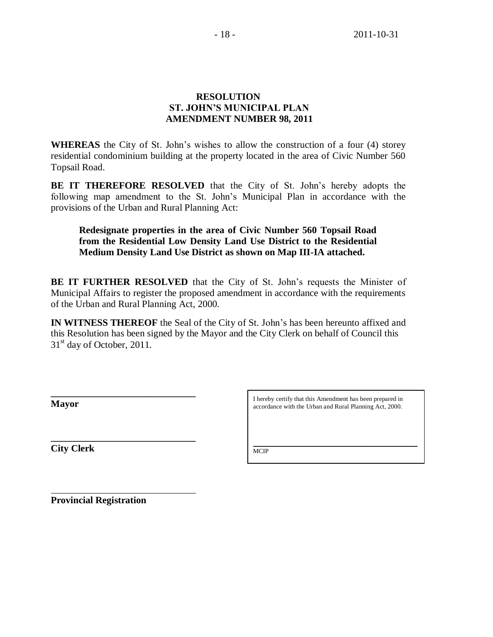# **RESOLUTION ST. JOHN'S MUNICIPAL PLAN AMENDMENT NUMBER 98, 2011**

**WHEREAS** the City of St. John's wishes to allow the construction of a four (4) storey residential condominium building at the property located in the area of Civic Number 560 Topsail Road.

**BE IT THEREFORE RESOLVED** that the City of St. John's hereby adopts the following map amendment to the St. John's Municipal Plan in accordance with the provisions of the Urban and Rural Planning Act:

# **Redesignate properties in the area of Civic Number 560 Topsail Road from the Residential Low Density Land Use District to the Residential Medium Density Land Use District as shown on Map III-IA attached.**

**BE IT FURTHER RESOLVED** that the City of St. John's requests the Minister of Municipal Affairs to register the proposed amendment in accordance with the requirements of the Urban and Rural Planning Act, 2000.

**IN WITNESS THEREOF** the Seal of the City of St. John's has been hereunto affixed and this Resolution has been signed by the Mayor and the City Clerk on behalf of Council this  $31<sup>st</sup>$  day of October, 2011.

**Mayor**

I hereby certify that this Amendment has been prepared in accordance with the Urban and Rural Planning Act, 2000.

\_\_\_\_\_\_\_\_\_\_\_\_\_\_\_\_\_\_\_\_\_\_\_\_\_\_\_\_\_\_\_\_\_\_\_\_\_\_\_\_\_\_\_\_\_\_\_\_\_\_\_

**City Clerk**

M<sub>CIP</sub>

**Provincial Registration**

**\_\_\_\_\_\_\_\_\_\_\_\_\_\_\_\_\_\_\_\_\_\_\_\_\_\_\_\_\_\_**

**\_\_\_\_\_\_\_\_\_\_\_\_\_\_\_\_\_\_\_\_\_\_\_\_\_\_\_\_\_\_**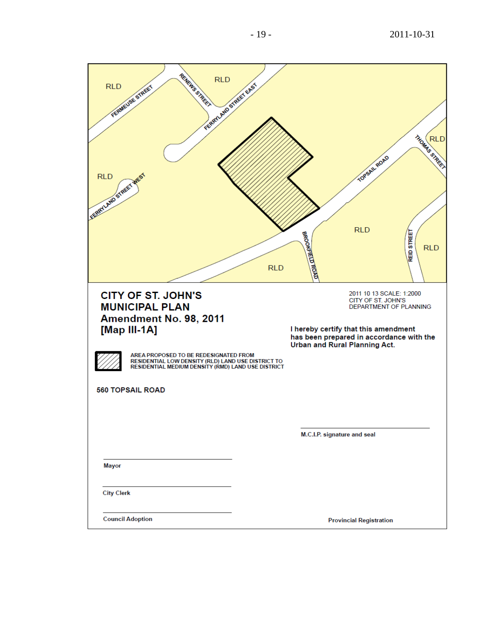- 2011 -10 -31

| RENEWS STREET<br><b>RLD</b><br>PERBAILAND STARES EASY<br><b>RLD</b><br>FERNIEUSE STREET<br>ERETLAND STREET MEST                                                                                                                                                                                                   | THOMAS STREET<br>TOPSAIL ROAD<br><b>RLD</b><br><b>REID STREET</b><br>BROOKFIELD ROAD<br><b>RLD</b><br><b>RLD</b>                                                                                                             |
|-------------------------------------------------------------------------------------------------------------------------------------------------------------------------------------------------------------------------------------------------------------------------------------------------------------------|------------------------------------------------------------------------------------------------------------------------------------------------------------------------------------------------------------------------------|
| <b>CITY OF ST. JOHN'S</b><br><b>MUNICIPAL PLAN</b><br>Amendment No. 98, 2011<br>[Map III-1A]<br>AREA PROPOSED TO BE REDESIGNATED FROM<br>RESIDENTIAL LOW DENSITY (RLD) LAND USE DISTRICT TO<br>RESIDENTIAL MEDIUM DENSITY (RMD) LAND USE DISTRICT<br><b>560 TOPSAIL ROAD</b><br><b>Mayor</b><br><b>City Clerk</b> | 2011 10 13 SCALE: 1:2000<br>CITY OF ST. JOHN'S<br>DEPARTMENT OF PLANNING<br>I hereby certify that this amendment<br>has been prepared in accordance with the<br>Urban and Rural Planning Act.<br>M.C.I.P. signature and seal |
| <b>Council Adoption</b>                                                                                                                                                                                                                                                                                           | <b>Provincial Registration</b>                                                                                                                                                                                               |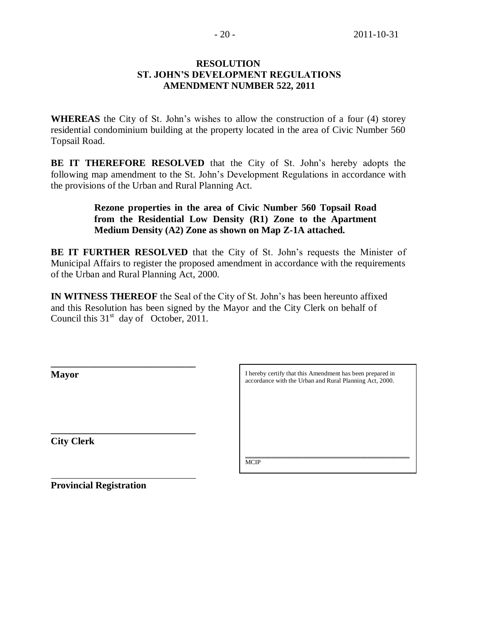## **RESOLUTION ST. JOHN'S DEVELOPMENT REGULATIONS AMENDMENT NUMBER 522, 2011**

**WHEREAS** the City of St. John's wishes to allow the construction of a four (4) storey residential condominium building at the property located in the area of Civic Number 560 Topsail Road.

**BE IT THEREFORE RESOLVED** that the City of St. John's hereby adopts the following map amendment to the St. John's Development Regulations in accordance with the provisions of the Urban and Rural Planning Act.

> **Rezone properties in the area of Civic Number 560 Topsail Road from the Residential Low Density (R1) Zone to the Apartment Medium Density (A2) Zone as shown on Map Z-1A attached.**

**BE IT FURTHER RESOLVED** that the City of St. John's requests the Minister of Municipal Affairs to register the proposed amendment in accordance with the requirements of the Urban and Rural Planning Act, 2000.

**IN WITNESS THEREOF** the Seal of the City of St. John's has been hereunto affixed and this Resolution has been signed by the Mayor and the City Clerk on behalf of Council this  $31<sup>st</sup>$  day of October, 2011.

**\_\_\_\_\_\_\_\_\_\_\_\_\_\_\_\_\_\_\_\_\_\_\_\_\_\_\_\_\_\_ Mayor \_\_\_\_\_\_\_\_\_\_\_\_\_\_\_\_\_\_\_\_\_\_\_\_\_\_\_\_\_\_ City Clerk** I hereby certify that this Amendment has been prepared in accordance with the Urban and Rural Planning Act, 2000. \_\_\_\_\_\_\_\_\_\_\_\_\_\_\_\_\_\_\_\_\_\_\_\_\_\_\_\_\_\_\_\_\_\_\_\_\_\_\_\_\_\_\_\_\_\_\_\_\_\_\_ **MCIP** 

**Provincial Registration**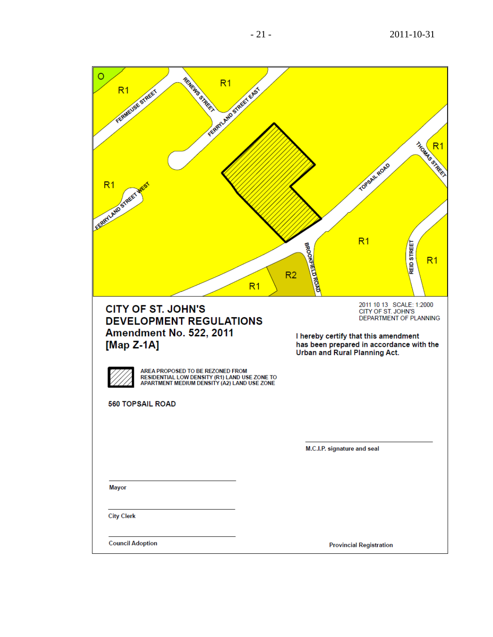| $\circ$<br>RENEWS STREET<br>R <sub>1</sub><br>FERENCHIPS STREET EASY<br>FERMELISE STREET<br>R <sub>1</sub><br>FERENLAND STREET<br>R <sub>1</sub>                                                                                                                              | THOMAS STREET<br>TOPSAIL ROAD<br>R <sub>1</sub><br>REID STREET<br>BROOKFIELD ROAD<br>R <sub>1</sub><br>R <sub>2</sub>                                                                                                               |
|-------------------------------------------------------------------------------------------------------------------------------------------------------------------------------------------------------------------------------------------------------------------------------|-------------------------------------------------------------------------------------------------------------------------------------------------------------------------------------------------------------------------------------|
| <b>CITY OF ST. JOHN'S</b><br><b>DEVELOPMENT REGULATIONS</b><br><b>Amendment No. 522, 2011</b><br>[Map $Z-1A$ ]<br>AREA PROPOSED TO BE REZONED FROM<br>RESIDENTIAL LOW DENSITY (R1) LAND USE ZONE TO<br>APARTMENT MEDIUM DENSITY (A2) LAND USE ZONE<br><b>560 TOPSAIL ROAD</b> | 2011 10 13 SCALE: 1:2000<br>CITY OF ST. JOHN'S<br>DEPARTMENT OF PLANNING<br>I hereby certify that this amendment<br>has been prepared in accordance with the<br><b>Urban and Rural Planning Act.</b><br>M.C.I.P. signature and seal |
| Mayor<br><b>City Clerk</b><br><b>Council Adoption</b>                                                                                                                                                                                                                         | <b>Provincial Registration</b>                                                                                                                                                                                                      |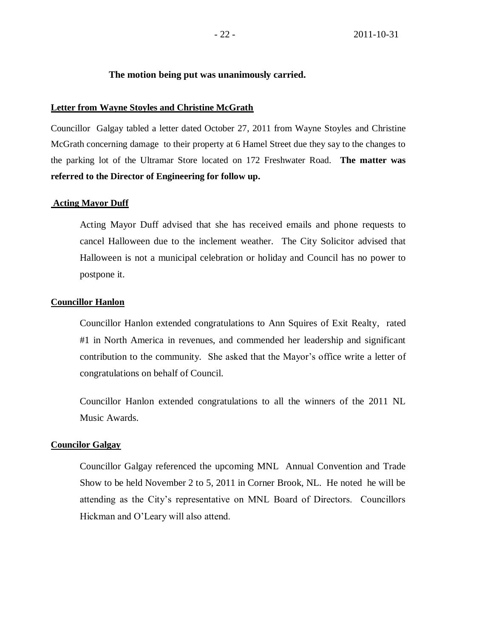### **The motion being put was unanimously carried.**

### **Letter from Wayne Stoyles and Christine McGrath**

Councillor Galgay tabled a letter dated October 27, 2011 from Wayne Stoyles and Christine McGrath concerning damage to their property at 6 Hamel Street due they say to the changes to the parking lot of the Ultramar Store located on 172 Freshwater Road. **The matter was referred to the Director of Engineering for follow up.**

### **Acting Mayor Duff**

Acting Mayor Duff advised that she has received emails and phone requests to cancel Halloween due to the inclement weather. The City Solicitor advised that Halloween is not a municipal celebration or holiday and Council has no power to postpone it.

### **Councillor Hanlon**

Councillor Hanlon extended congratulations to Ann Squires of Exit Realty, rated #1 in North America in revenues, and commended her leadership and significant contribution to the community. She asked that the Mayor's office write a letter of congratulations on behalf of Council.

Councillor Hanlon extended congratulations to all the winners of the 2011 NL Music Awards.

### **Councilor Galgay**

Councillor Galgay referenced the upcoming MNL Annual Convention and Trade Show to be held November 2 to 5, 2011 in Corner Brook, NL. He noted he will be attending as the City's representative on MNL Board of Directors. Councillors Hickman and O'Leary will also attend.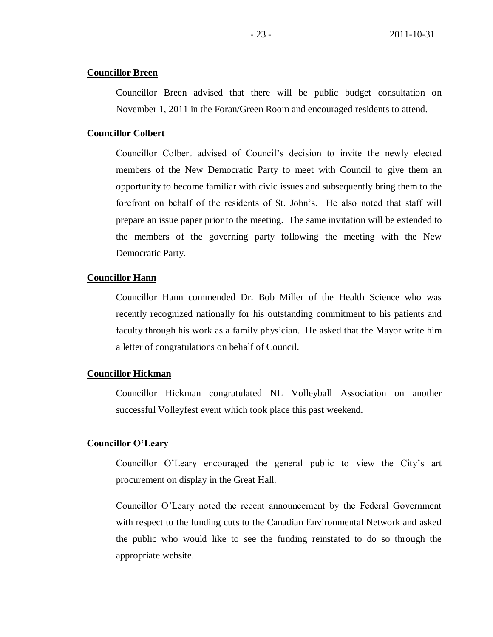## **Councillor Breen**

Councillor Breen advised that there will be public budget consultation on November 1, 2011 in the Foran/Green Room and encouraged residents to attend.

### **Councillor Colbert**

Councillor Colbert advised of Council's decision to invite the newly elected members of the New Democratic Party to meet with Council to give them an opportunity to become familiar with civic issues and subsequently bring them to the forefront on behalf of the residents of St. John's. He also noted that staff will prepare an issue paper prior to the meeting. The same invitation will be extended to the members of the governing party following the meeting with the New Democratic Party.

## **Councillor Hann**

Councillor Hann commended Dr. Bob Miller of the Health Science who was recently recognized nationally for his outstanding commitment to his patients and faculty through his work as a family physician. He asked that the Mayor write him a letter of congratulations on behalf of Council.

### **Councillor Hickman**

Councillor Hickman congratulated NL Volleyball Association on another successful Volleyfest event which took place this past weekend.

### **Councillor O'Leary**

Councillor O'Leary encouraged the general public to view the City's art procurement on display in the Great Hall.

Councillor O'Leary noted the recent announcement by the Federal Government with respect to the funding cuts to the Canadian Environmental Network and asked the public who would like to see the funding reinstated to do so through the appropriate website.